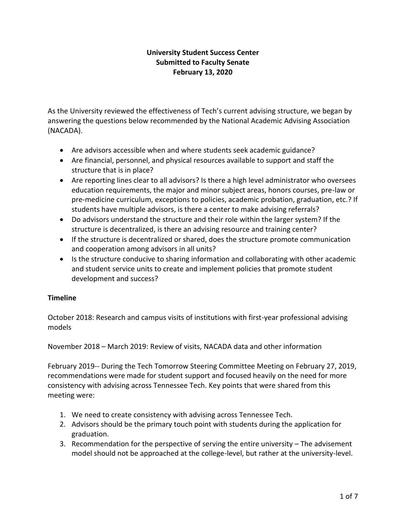# **University Student Success Center Submitted to Faculty Senate February 13, 2020**

As the University reviewed the effectiveness of Tech's current advising structure, we began by answering the questions below recommended by the National Academic Advising Association (NACADA).

- Are advisors accessible when and where students seek academic guidance?
- Are financial, personnel, and physical resources available to support and staff the structure that is in place?
- Are reporting lines clear to all advisors? Is there a high level administrator who oversees education requirements, the major and minor subject areas, honors courses, pre-law or pre-medicine curriculum, exceptions to policies, academic probation, graduation, etc.? If students have multiple advisors, is there a center to make advising referrals?
- Do advisors understand the structure and their role within the larger system? If the structure is decentralized, is there an advising resource and training center?
- If the structure is decentralized or shared, does the structure promote communication and cooperation among advisors in all units?
- Is the structure conducive to sharing information and collaborating with other academic and student service units to create and implement policies that promote student development and success?

## **Timeline**

October 2018: Research and campus visits of institutions with first-year professional advising models

November 2018 – March 2019: Review of visits, NACADA data and other information

February 2019-- During the Tech Tomorrow Steering Committee Meeting on February 27, 2019, recommendations were made for student support and focused heavily on the need for more consistency with advising across Tennessee Tech. Key points that were shared from this meeting were:

- 1. We need to create consistency with advising across Tennessee Tech.
- 2. Advisors should be the primary touch point with students during the application for graduation.
- 3. Recommendation for the perspective of serving the entire university The advisement model should not be approached at the college-level, but rather at the university-level.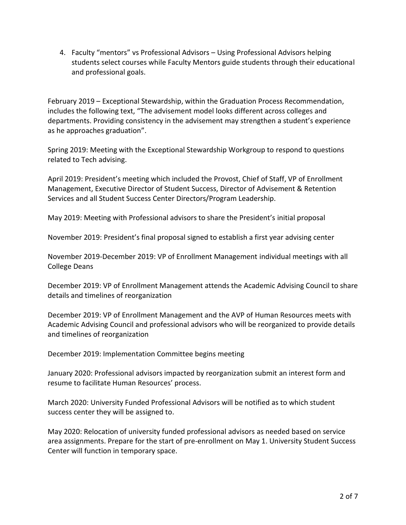4. Faculty "mentors" vs Professional Advisors – Using Professional Advisors helping students select courses while Faculty Mentors guide students through their educational and professional goals.

February 2019 – Exceptional Stewardship, within the Graduation Process Recommendation, includes the following text, "The advisement model looks different across colleges and departments. Providing consistency in the advisement may strengthen a student's experience as he approaches graduation".

Spring 2019: Meeting with the Exceptional Stewardship Workgroup to respond to questions related to Tech advising.

April 2019: President's meeting which included the Provost, Chief of Staff, VP of Enrollment Management, Executive Director of Student Success, Director of Advisement & Retention Services and all Student Success Center Directors/Program Leadership.

May 2019: Meeting with Professional advisors to share the President's initial proposal

November 2019: President's final proposal signed to establish a first year advising center

November 2019-December 2019: VP of Enrollment Management individual meetings with all College Deans

December 2019: VP of Enrollment Management attends the Academic Advising Council to share details and timelines of reorganization

December 2019: VP of Enrollment Management and the AVP of Human Resources meets with Academic Advising Council and professional advisors who will be reorganized to provide details and timelines of reorganization

December 2019: Implementation Committee begins meeting

January 2020: Professional advisors impacted by reorganization submit an interest form and resume to facilitate Human Resources' process.

March 2020: University Funded Professional Advisors will be notified as to which student success center they will be assigned to.

May 2020: Relocation of university funded professional advisors as needed based on service area assignments. Prepare for the start of pre-enrollment on May 1. University Student Success Center will function in temporary space.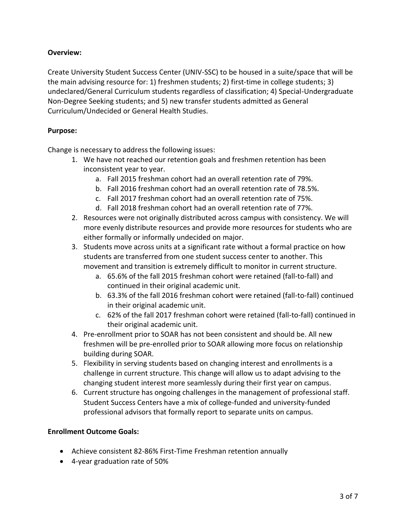## **Overview:**

Create University Student Success Center (UNIV-SSC) to be housed in a suite/space that will be the main advising resource for: 1) freshmen students; 2) first-time in college students; 3) undeclared/General Curriculum students regardless of classification; 4) Special-Undergraduate Non-Degree Seeking students; and 5) new transfer students admitted as General Curriculum/Undecided or General Health Studies.

# **Purpose:**

Change is necessary to address the following issues:

- 1. We have not reached our retention goals and freshmen retention has been inconsistent year to year.
	- a. Fall 2015 freshman cohort had an overall retention rate of 79%.
	- b. Fall 2016 freshman cohort had an overall retention rate of 78.5%.
	- c. Fall 2017 freshman cohort had an overall retention rate of 75%.
	- d. Fall 2018 freshman cohort had an overall retention rate of 77%.
- 2. Resources were not originally distributed across campus with consistency. We will more evenly distribute resources and provide more resources for students who are either formally or informally undecided on major.
- 3. Students move across units at a significant rate without a formal practice on how students are transferred from one student success center to another. This movement and transition is extremely difficult to monitor in current structure.
	- a. 65.6% of the fall 2015 freshman cohort were retained (fall-to-fall) and continued in their original academic unit.
	- b. 63.3% of the fall 2016 freshman cohort were retained (fall-to-fall) continued in their original academic unit.
	- c. 62% of the fall 2017 freshman cohort were retained (fall-to-fall) continued in their original academic unit.
- 4. Pre-enrollment prior to SOAR has not been consistent and should be. All new freshmen will be pre-enrolled prior to SOAR allowing more focus on relationship building during SOAR.
- 5. Flexibility in serving students based on changing interest and enrollments is a challenge in current structure. This change will allow us to adapt advising to the changing student interest more seamlessly during their first year on campus.
- 6. Current structure has ongoing challenges in the management of professional staff. Student Success Centers have a mix of college-funded and university-funded professional advisors that formally report to separate units on campus.

## **Enrollment Outcome Goals:**

- Achieve consistent 82-86% First-Time Freshman retention annually
- 4-year graduation rate of 50%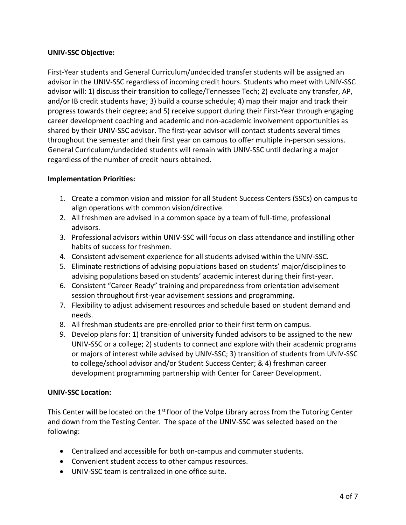#### **UNIV-SSC Objective:**

First-Year students and General Curriculum/undecided transfer students will be assigned an advisor in the UNIV-SSC regardless of incoming credit hours. Students who meet with UNIV-SSC advisor will: 1) discuss their transition to college/Tennessee Tech; 2) evaluate any transfer, AP, and/or IB credit students have; 3) build a course schedule; 4) map their major and track their progress towards their degree; and 5) receive support during their First-Year through engaging career development coaching and academic and non-academic involvement opportunities as shared by their UNIV-SSC advisor. The first-year advisor will contact students several times throughout the semester and their first year on campus to offer multiple in-person sessions. General Curriculum/undecided students will remain with UNIV-SSC until declaring a major regardless of the number of credit hours obtained.

#### **Implementation Priorities:**

- 1. Create a common vision and mission for all Student Success Centers (SSCs) on campus to align operations with common vision/directive.
- 2. All freshmen are advised in a common space by a team of full-time, professional advisors.
- 3. Professional advisors within UNIV-SSC will focus on class attendance and instilling other habits of success for freshmen.
- 4. Consistent advisement experience for all students advised within the UNIV-SSC.
- 5. Eliminate restrictions of advising populations based on students' major/disciplines to advising populations based on students' academic interest during their first-year.
- 6. Consistent "Career Ready" training and preparedness from orientation advisement session throughout first-year advisement sessions and programming.
- 7. Flexibility to adjust advisement resources and schedule based on student demand and needs.
- 8. All freshman students are pre-enrolled prior to their first term on campus.
- 9. Develop plans for: 1) transition of university funded advisors to be assigned to the new UNIV-SSC or a college; 2) students to connect and explore with their academic programs or majors of interest while advised by UNIV-SSC; 3) transition of students from UNIV-SSC to college/school advisor and/or Student Success Center; & 4) freshman career development programming partnership with Center for Career Development.

## **UNIV-SSC Location:**

This Center will be located on the 1<sup>st</sup> floor of the Volpe Library across from the Tutoring Center and down from the Testing Center. The space of the UNIV-SSC was selected based on the following:

- Centralized and accessible for both on-campus and commuter students.
- Convenient student access to other campus resources.
- UNIV-SSC team is centralized in one office suite.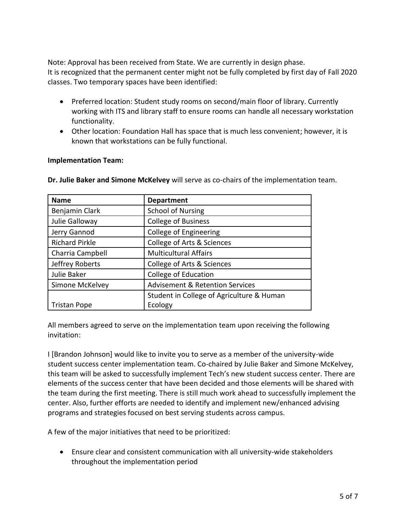Note: Approval has been received from State. We are currently in design phase. It is recognized that the permanent center might not be fully completed by first day of Fall 2020 classes. Two temporary spaces have been identified:

- Preferred location: Student study rooms on second/main floor of library. Currently working with ITS and library staff to ensure rooms can handle all necessary workstation functionality.
- Other location: Foundation Hall has space that is much less convenient; however, it is known that workstations can be fully functional.

#### **Implementation Team:**

| <b>Name</b>           | <b>Department</b>                          |
|-----------------------|--------------------------------------------|
| Benjamin Clark        | <b>School of Nursing</b>                   |
| Julie Galloway        | <b>College of Business</b>                 |
| Jerry Gannod          | <b>College of Engineering</b>              |
| <b>Richard Pirkle</b> | College of Arts & Sciences                 |
| Charria Campbell      | <b>Multicultural Affairs</b>               |
| Jeffrey Roberts       | College of Arts & Sciences                 |
| Julie Baker           | College of Education                       |
| Simone McKelvey       | <b>Advisement &amp; Retention Services</b> |
|                       | Student in College of Agriculture & Human  |
| <b>Tristan Pope</b>   | Ecology                                    |

**Dr. Julie Baker and Simone McKelvey** will serve as co-chairs of the implementation team.

All members agreed to serve on the implementation team upon receiving the following invitation:

I [Brandon Johnson] would like to invite you to serve as a member of the university-wide student success center implementation team. Co-chaired by Julie Baker and Simone McKelvey, this team will be asked to successfully implement Tech's new student success center. There are elements of the success center that have been decided and those elements will be shared with the team during the first meeting. There is still much work ahead to successfully implement the center. Also, further efforts are needed to identify and implement new/enhanced advising programs and strategies focused on best serving students across campus.

A few of the major initiatives that need to be prioritized:

 Ensure clear and consistent communication with all university-wide stakeholders throughout the implementation period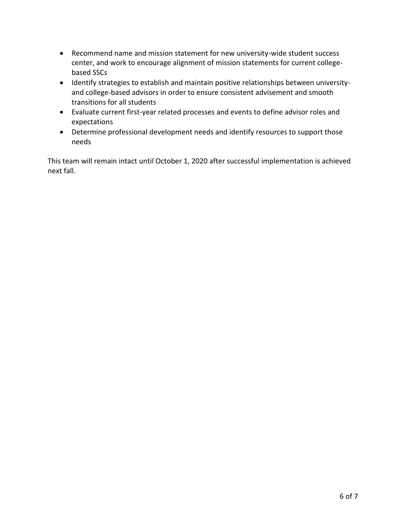- Recommend name and mission statement for new university-wide student success center, and work to encourage alignment of mission statements for current collegebased SSCs
- Identify strategies to establish and maintain positive relationships between universityand college-based advisors in order to ensure consistent advisement and smooth transitions for all students
- Evaluate current first-year related processes and events to define advisor roles and expectations
- Determine professional development needs and identify resources to support those needs

This team will remain intact until October 1, 2020 after successful implementation is achieved next fall.